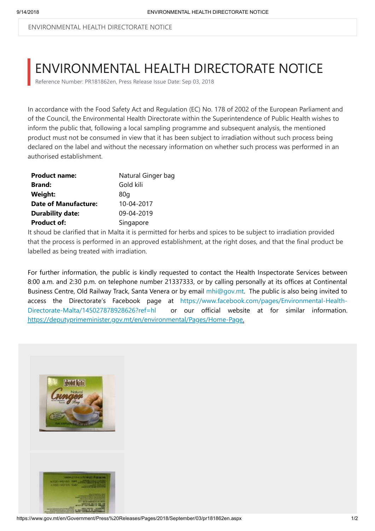ENVIRONMENTAL HEALTH DIRECTORATE NOTICE

## ENVIRONMENTAL HEALTH DIRECTORATE NOTICE

Reference Number: PR181862en, Press Release Issue Date: Sep 03, 2018

In accordance with the Food Safety Act and Regulation (EC) No. 178 of 2002 of the European Parliament and of the Council, the Environmental Health Directorate within the Superintendence of Public Health wishes to inform the public that, following a local sampling programme and subsequent analysis, the mentioned product must not be consumed in view that it has been subject to irradiation without such process being declared on the label and without the necessary information on whether such process was performed in an authorised establishment.

| <b>Product name:</b>        | Natural Ginger bag |
|-----------------------------|--------------------|
| <b>Brand:</b>               | Gold kili          |
| <b>Weight:</b>              | 80a                |
| <b>Date of Manufacture:</b> | 10-04-2017         |
| <b>Durability date:</b>     | 09-04-2019         |
| <b>Product of:</b>          | Singapore          |

It shoud be clarified that in Malta it is permitted for herbs and spices to be subject to irradiation provided that the process is performed in an approved establishment, at the right doses, and that the final product be labelled as being treated with irradiation.

For further information, the public is kindly requested to contact the Health Inspectorate Services between 8:00 a.m. and 2:30 p.m. on telephone number 21337333, or by calling personally at its offices at Continental Business Centre, Old Railway Track, Santa Venera or by email [mhi@gov.mt](mailto:mhi@gov.mt). The public is also being invited to [access the Directorate's Facebook page at https://www.facebook.com/pages/Environmental-Health-](https://www.facebook.com/pages/Environmental-Health-Directorate-Malta/145027878928626?ref=hl)Directorate-Malta/145027878928626?ref=hl or our official website at for similar information. <https://deputyprimeminister.gov.mt/en/environmental/Pages/Home-Page>.